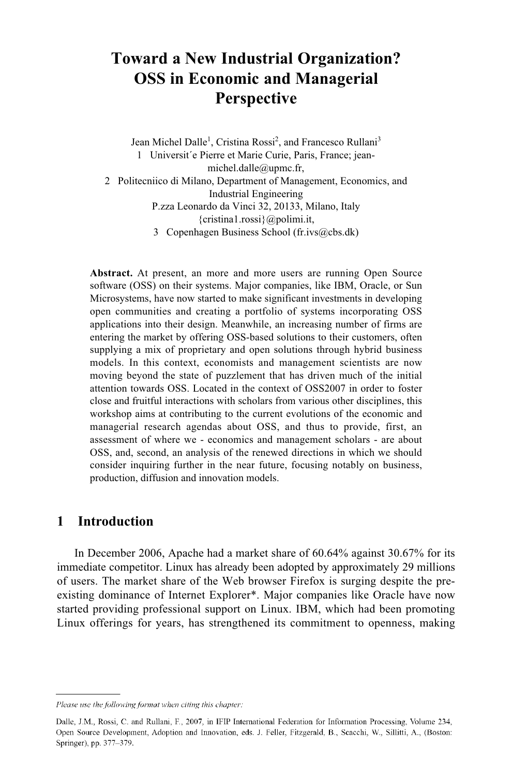# **Toward a New Industrial Organization? OSS in Economic and Managerial Perspective**

Jean Michel Dalle<sup>1</sup>, Cristina Rossi<sup>2</sup>, and Francesco Rullani<sup>3</sup> 1 Universit´e Pierre et Marie Curie, Paris, France; jeanmichel.dalle@upmc.fr, 2 Politecniico di Milano, Department of Management, Economics, and Industrial Engineering P.zza Leonardo da Vinci 32, 20133, Milano, Italy {cristina1.rossi}@polimi.it, 3 Copenhagen Business School (fr.ivs@cbs.dk)

**Abstract.** At present, an more and more users are running Open Source software (OSS) on their systems. Major companies, like IBM, Oracle, or Sun Microsystems, have now started to make significant investments in developing open communities and creating a portfolio of systems incorporating OSS applications into their design. Meanwhile, an increasing number of firms are entering the market by offering OSS-based solutions to their customers, often supplying a mix of proprietary and open solutions through hybrid business models. In this context, economists and management scientists are now moving beyond the state of puzzlement that has driven much of the initial attention towards OSS. Located in the context of OSS2007 in order to foster close and fruitful interactions with scholars from various other disciplines, this workshop aims at contributing to the current evolutions of the economic and managerial research agendas about OSS, and thus to provide, first, an assessment of where we - economics and management scholars - are about OSS, and, second, an analysis of the renewed directions in which we should consider inquiring further in the near future, focusing notably on business, production, diffusion and innovation models.

#### **1 Introduction**

In December 2006, Apache had a market share of 60.64% against 30.67% for its immediate competitor. Linux has already been adopted by approximately 29 millions of users. The market share of the Web browser Firefox is surging despite the preexisting dominance of Internet Explorer\*. Major companies like Oracle have now started providing professional support on Linux. IBM, which had been promoting Linux offerings for years, has strengthened its commitment to openness, making

Please use the following format when citing this chapter:

Dalle, J.M., Rossi, C. and Rullani, F., 2007, in IFIP International Federation for Information Processing, Volume 234, Open Source Development, Adoption and Innovation, eds. J. Feller, Fitzgerald, B., Scacchi, W., Sillitti, A., (Boston: Springer), pp. 377-379.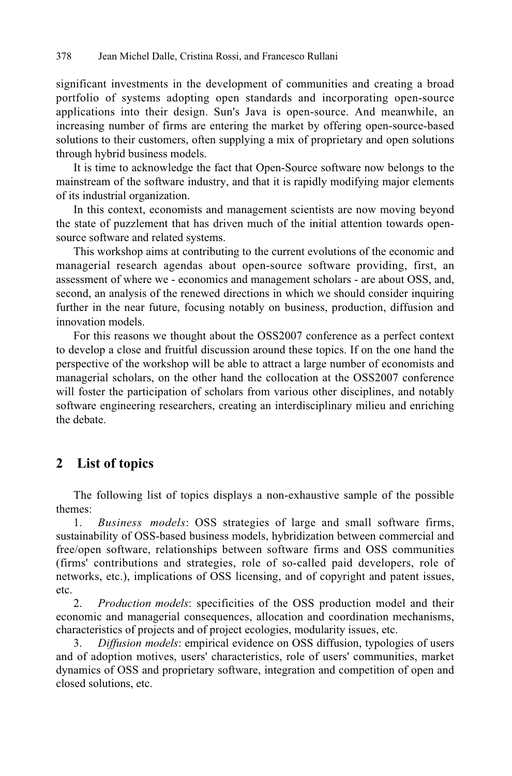significant investments in the development of communities and creating a broad portfolio of systems adopting open standards and incorporating open-source applications into their design. Sun's Java is open-source. And meanwhile, an increasing number of firms are entering the market by offering open-source-based solutions to their customers, often supplying a mix of proprietary and open solutions through hybrid business models.

It is time to acknowledge the fact that Open-Source software now belongs to the mainstream of the software industry, and that it is rapidly modifying major elements of its industrial organization.

In this context, economists and management scientists are now moving beyond the state of puzzlement that has driven much of the initial attention towards opensource software and related systems.

This workshop aims at contributing to the current evolutions of the economic and managerial research agendas about open-source software providing, first, an assessment of where we - economics and management scholars - are about OSS, and, second, an analysis of the renewed directions in which we should consider inquiring further in the near future, focusing notably on business, production, diffusion and innovation models.

For this reasons we thought about the OSS2007 conference as a perfect context to develop a close and fruitful discussion around these topics. If on the one hand the perspective of the workshop will be able to attract a large number of economists and managerial scholars, on the other hand the collocation at the OSS2007 conference will foster the participation of scholars from various other disciplines, and notably software engineering researchers, creating an interdisciplinary milieu and enriching the debate.

## **2 List of topics**

The following list of topics displays a non-exhaustive sample of the possible themes:

1. *Business models*: OSS strategies of large and small software firms, sustainability of OSS-based business models, hybridization between commercial and free/open software, relationships between software firms and OSS communities (firms' contributions and strategies, role of so-called paid developers, role of networks, etc.), implications of OSS licensing, and of copyright and patent issues, etc.

2. *Production models*: specificities of the OSS production model and their economic and managerial consequences, allocation and coordination mechanisms, characteristics of projects and of project ecologies, modularity issues, etc.

3. *Diffusion models*: empirical evidence on OSS diffusion, typologies of users and of adoption motives, users' characteristics, role of users' communities, market dynamics of OSS and proprietary software, integration and competition of open and closed solutions, etc.